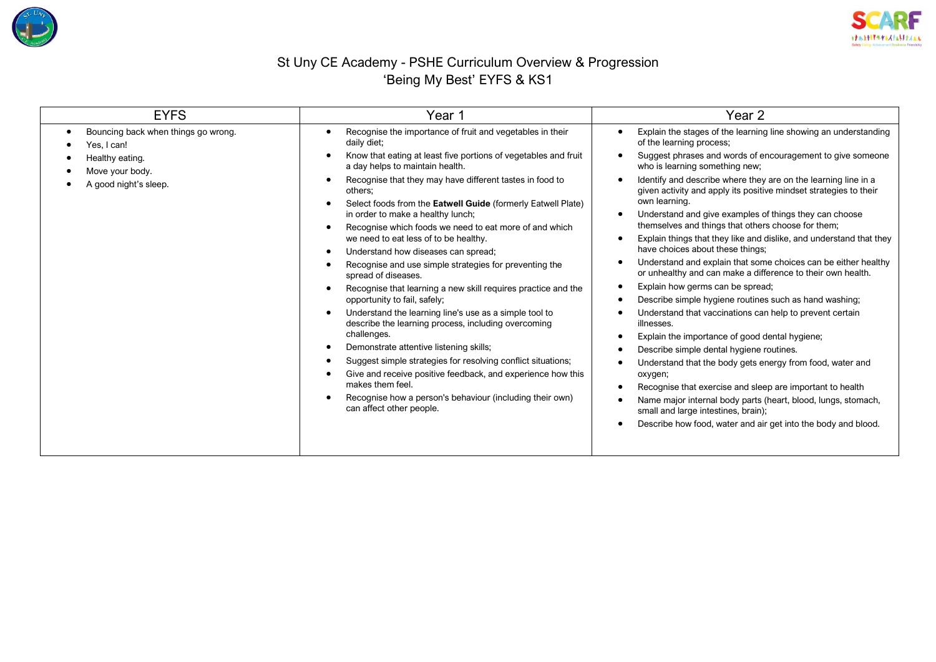



## St Uny CE Academy - PSHE Curriculum Overview & Progression 'Being My Best' EYFS & KS1

| <b>EYFS</b>                                                                                                       | Year 1                                                                                                                                                                                                                                                                                                                                                                                                                                                                                                                                                                                                                                                                                                                                                                                                                                                                                                                                                                                                                                                                                                       | Year <sub>2</sub>                                                                                                                                                                                                                                                                                                                                                                                                                                                                                                                                                                                                                                                                                                                                                                                                                                                                                                                                                                                                                                                                                                                                                                                                                                                                                    |  |
|-------------------------------------------------------------------------------------------------------------------|--------------------------------------------------------------------------------------------------------------------------------------------------------------------------------------------------------------------------------------------------------------------------------------------------------------------------------------------------------------------------------------------------------------------------------------------------------------------------------------------------------------------------------------------------------------------------------------------------------------------------------------------------------------------------------------------------------------------------------------------------------------------------------------------------------------------------------------------------------------------------------------------------------------------------------------------------------------------------------------------------------------------------------------------------------------------------------------------------------------|------------------------------------------------------------------------------------------------------------------------------------------------------------------------------------------------------------------------------------------------------------------------------------------------------------------------------------------------------------------------------------------------------------------------------------------------------------------------------------------------------------------------------------------------------------------------------------------------------------------------------------------------------------------------------------------------------------------------------------------------------------------------------------------------------------------------------------------------------------------------------------------------------------------------------------------------------------------------------------------------------------------------------------------------------------------------------------------------------------------------------------------------------------------------------------------------------------------------------------------------------------------------------------------------------|--|
| Bouncing back when things go wrong.<br>Yes, I can!<br>Healthy eating.<br>Move your body.<br>A good night's sleep. | Recognise the importance of fruit and vegetables in their<br>daily diet;<br>Know that eating at least five portions of vegetables and fruit<br>a day helps to maintain health.<br>Recognise that they may have different tastes in food to<br>others;<br>Select foods from the Eatwell Guide (formerly Eatwell Plate)<br>in order to make a healthy lunch;<br>Recognise which foods we need to eat more of and which<br>we need to eat less of to be healthy.<br>Understand how diseases can spread;<br>Recognise and use simple strategies for preventing the<br>spread of diseases.<br>Recognise that learning a new skill requires practice and the<br>opportunity to fail, safely;<br>Understand the learning line's use as a simple tool to<br>describe the learning process, including overcoming<br>challenges.<br>Demonstrate attentive listening skills;<br>Suggest simple strategies for resolving conflict situations;<br>Give and receive positive feedback, and experience how this<br>makes them feel.<br>Recognise how a person's behaviour (including their own)<br>can affect other people. | Explain the stages of the learning line showing an understanding<br>of the learning process;<br>Suggest phrases and words of encouragement to give someone<br>who is learning something new;<br>Identify and describe where they are on the learning line in a<br>given activity and apply its positive mindset strategies to their<br>own learning.<br>Understand and give examples of things they can choose<br>themselves and things that others choose for them;<br>Explain things that they like and dislike, and understand that they<br>have choices about these things;<br>Understand and explain that some choices can be either healthy<br>or unhealthy and can make a difference to their own health.<br>Explain how germs can be spread;<br>Describe simple hygiene routines such as hand washing;<br>Understand that vaccinations can help to prevent certain<br>illnesses.<br>Explain the importance of good dental hygiene;<br>Describe simple dental hygiene routines.<br>Understand that the body gets energy from food, water and<br>oxygen;<br>Recognise that exercise and sleep are important to health<br>Name major internal body parts (heart, blood, lungs, stomach,<br>small and large intestines, brain);<br>Describe how food, water and air get into the body and blood. |  |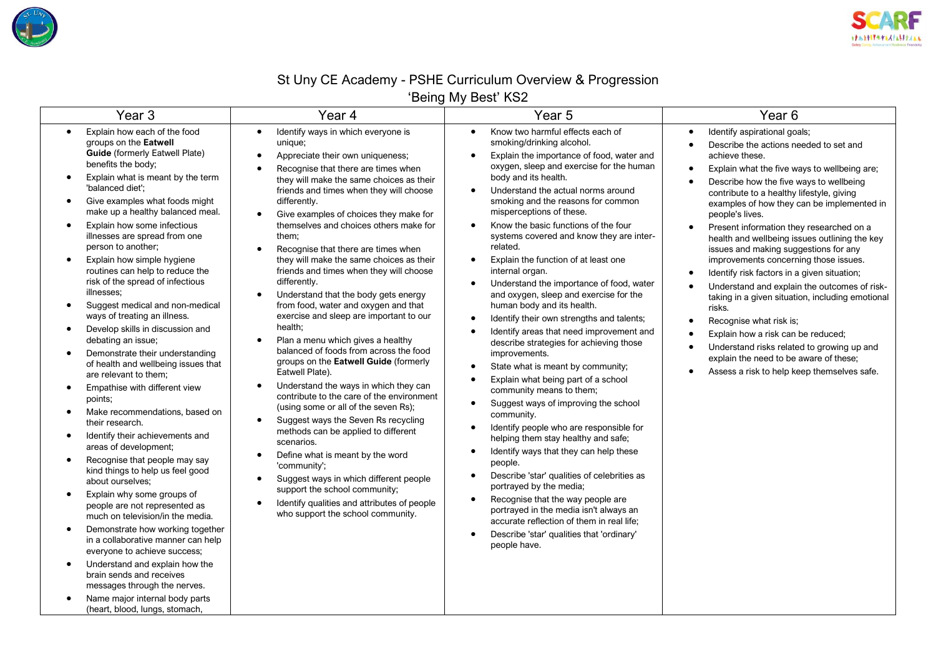



## St Uny CE Academy - PSHE Curriculum Overview & Progression 'Being My Best' KS2

| Year <sub>3</sub>                                                                                                                                                                                                                                                                                                                                                                                                                                                                                                                                                                                                                                                                                                                                                                                                                                                                                                                                                                                                                                                                                                                                                                                                                                                                                                                                                                                                                                                                                  | Year 4                                                                                                                                                                                                                                                                                                                                                                                                                                                                                                                                                                                                                                                                                                                                                                                                                                                                                                                                                                                                                                                                                                                                                                                                                                                                                                                                     | Year <sub>5</sub>                                                                                                                                                                                                                                                                                                                                                                                                                                                                                                                                                                                                                                                                                                                                                                                                                                                                                                                                                                                                                                                                                                                                                                                                                                                                                                                                                                                                       | Year <sub>6</sub>                                                                                                                                                                                                                                                                                                                                                                                                                                                                                                                                                                                                                                                                                                                                                                                                                                                                                                                                                          |
|----------------------------------------------------------------------------------------------------------------------------------------------------------------------------------------------------------------------------------------------------------------------------------------------------------------------------------------------------------------------------------------------------------------------------------------------------------------------------------------------------------------------------------------------------------------------------------------------------------------------------------------------------------------------------------------------------------------------------------------------------------------------------------------------------------------------------------------------------------------------------------------------------------------------------------------------------------------------------------------------------------------------------------------------------------------------------------------------------------------------------------------------------------------------------------------------------------------------------------------------------------------------------------------------------------------------------------------------------------------------------------------------------------------------------------------------------------------------------------------------------|--------------------------------------------------------------------------------------------------------------------------------------------------------------------------------------------------------------------------------------------------------------------------------------------------------------------------------------------------------------------------------------------------------------------------------------------------------------------------------------------------------------------------------------------------------------------------------------------------------------------------------------------------------------------------------------------------------------------------------------------------------------------------------------------------------------------------------------------------------------------------------------------------------------------------------------------------------------------------------------------------------------------------------------------------------------------------------------------------------------------------------------------------------------------------------------------------------------------------------------------------------------------------------------------------------------------------------------------|-------------------------------------------------------------------------------------------------------------------------------------------------------------------------------------------------------------------------------------------------------------------------------------------------------------------------------------------------------------------------------------------------------------------------------------------------------------------------------------------------------------------------------------------------------------------------------------------------------------------------------------------------------------------------------------------------------------------------------------------------------------------------------------------------------------------------------------------------------------------------------------------------------------------------------------------------------------------------------------------------------------------------------------------------------------------------------------------------------------------------------------------------------------------------------------------------------------------------------------------------------------------------------------------------------------------------------------------------------------------------------------------------------------------------|----------------------------------------------------------------------------------------------------------------------------------------------------------------------------------------------------------------------------------------------------------------------------------------------------------------------------------------------------------------------------------------------------------------------------------------------------------------------------------------------------------------------------------------------------------------------------------------------------------------------------------------------------------------------------------------------------------------------------------------------------------------------------------------------------------------------------------------------------------------------------------------------------------------------------------------------------------------------------|
| Explain how each of the food<br>$\bullet$<br>groups on the Eatwell<br><b>Guide</b> (formerly Eatwell Plate)<br>benefits the body;<br>Explain what is meant by the term<br>$\bullet$<br>'balanced diet';<br>Give examples what foods might<br>make up a healthy balanced meal.<br>Explain how some infectious<br>$\bullet$<br>illnesses are spread from one<br>person to another;<br>Explain how simple hygiene<br>$\bullet$<br>routines can help to reduce the<br>risk of the spread of infectious<br>illnesses;<br>Suggest medical and non-medical<br>$\bullet$<br>ways of treating an illness.<br>Develop skills in discussion and<br>$\bullet$<br>debating an issue;<br>Demonstrate their understanding<br>$\bullet$<br>of health and wellbeing issues that<br>are relevant to them;<br>Empathise with different view<br>$\bullet$<br>points;<br>Make recommendations, based on<br>$\bullet$<br>their research.<br>Identify their achievements and<br>٠<br>areas of development;<br>Recognise that people may say<br>kind things to help us feel good<br>about ourselves:<br>Explain why some groups of<br>$\bullet$<br>people are not represented as<br>much on television/in the media.<br>Demonstrate how working together<br>$\bullet$<br>in a collaborative manner can help<br>everyone to achieve success;<br>Understand and explain how the<br>$\bullet$<br>brain sends and receives<br>messages through the nerves.<br>Name major internal body parts<br>(heart, blood, lungs, stomach, | Identify ways in which everyone is<br>$\bullet$<br>unique;<br>Appreciate their own uniqueness;<br>$\bullet$<br>Recognise that there are times when<br>$\bullet$<br>they will make the same choices as their<br>friends and times when they will choose<br>differently.<br>Give examples of choices they make for<br>$\bullet$<br>themselves and choices others make for<br>them:<br>Recognise that there are times when<br>they will make the same choices as their<br>friends and times when they will choose<br>differently.<br>Understand that the body gets energy<br>$\bullet$<br>from food, water and oxygen and that<br>exercise and sleep are important to our<br>health;<br>Plan a menu which gives a healthy<br>balanced of foods from across the food<br>groups on the Eatwell Guide (formerly<br>Eatwell Plate).<br>Understand the ways in which they can<br>$\bullet$<br>contribute to the care of the environment<br>(using some or all of the seven Rs);<br>Suggest ways the Seven Rs recycling<br>$\bullet$<br>methods can be applied to different<br>scenarios.<br>Define what is meant by the word<br>$\bullet$<br>'community';<br>Suggest ways in which different people<br>$\bullet$<br>support the school community;<br>Identify qualities and attributes of people<br>$\bullet$<br>who support the school community. | Know two harmful effects each of<br>$\bullet$<br>smoking/drinking alcohol.<br>Explain the importance of food, water and<br>oxygen, sleep and exercise for the human<br>body and its health.<br>Understand the actual norms around<br>$\bullet$<br>smoking and the reasons for common<br>misperceptions of these.<br>Know the basic functions of the four<br>systems covered and know they are inter-<br>related.<br>Explain the function of at least one<br>$\bullet$<br>internal organ.<br>Understand the importance of food, water<br>$\bullet$<br>and oxygen, sleep and exercise for the<br>human body and its health.<br>Identify their own strengths and talents;<br>Identify areas that need improvement and<br>describe strategies for achieving those<br>improvements.<br>State what is meant by community;<br>$\bullet$<br>Explain what being part of a school<br>community means to them;<br>Suggest ways of improving the school<br>$\bullet$<br>community.<br>Identify people who are responsible for<br>$\bullet$<br>helping them stay healthy and safe;<br>Identify ways that they can help these<br>people.<br>Describe 'star' qualities of celebrities as<br>$\bullet$<br>portrayed by the media;<br>Recognise that the way people are<br>$\bullet$<br>portrayed in the media isn't always an<br>accurate reflection of them in real life;<br>Describe 'star' qualities that 'ordinary'<br>people have. | Identify aspirational goals;<br>$\bullet$<br>Describe the actions needed to set and<br>$\bullet$<br>achieve these.<br>Explain what the five ways to wellbeing are;<br>$\bullet$<br>Describe how the five ways to wellbeing<br>$\bullet$<br>contribute to a healthy lifestyle, giving<br>examples of how they can be implemented in<br>people's lives.<br>Present information they researched on a<br>health and wellbeing issues outlining the key<br>issues and making suggestions for any<br>improvements concerning those issues.<br>Identify risk factors in a given situation;<br>$\bullet$<br>Understand and explain the outcomes of risk-<br>taking in a given situation, including emotional<br>risks.<br>Recognise what risk is;<br>$\bullet$<br>Explain how a risk can be reduced;<br>$\bullet$<br>Understand risks related to growing up and<br>$\bullet$<br>explain the need to be aware of these;<br>Assess a risk to help keep themselves safe.<br>$\bullet$ |